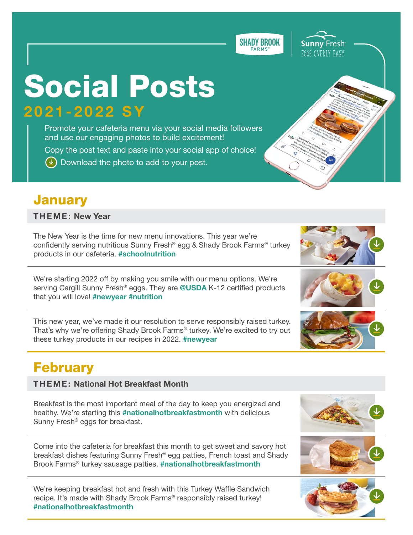**SHADY BROOK** 

# Social Posts 2021-2022 SY

Promote your cafeteria menu via your social media follow[ers](https://twitter.com/Cargill_K12Food)  and use our engaging photos to build excitement! Copy the post text and paste into your social app of choice!  $(\vee)$  Download the photo to add to your post.

#### **January**

THEME: New Year

The New Year is the time for new menu innovations. This year we're confidently serving nutritious Sunny Fresh® egg & Shady Brook Farms® turkey products in our cafeteria. #schoolnutrition

We're starting 2022 off by making you smile with our menu options. We're serving Cargill Sunny Fresh<sup>®</sup> eggs. They are @USDA K-12 certified products that you will love! #newyear #nutrition

This new year, we've made it our resolution to serve responsibly raised turkey. That's why we're offering Shady Brook Farms® turkey. We're excited to try out these turkey products in our recipes in 2022. #newyear

## February

#### THEME: National Hot Breakfast Month

Breakfast is the most important meal of the day to keep you energized and healthy. We're starting this #nationalhotbreakfastmonth with delicious Sunny Fresh® eggs for breakfast.

Come into the cafeteria for breakfast this month to get sweet and savory hot breakfast dishes featuring Sunny Fresh® egg patties, French toast and Shady Brook Farms<sup>®</sup> turkey sausage patties. #nationalhotbreakfastmonth

We're keeping breakfast hot and fresh with this Turkey Waffle Sandwich recipe. It's made with Shady Brook Farms® responsibly raised turkey! #nationalhotbreakfastmonth













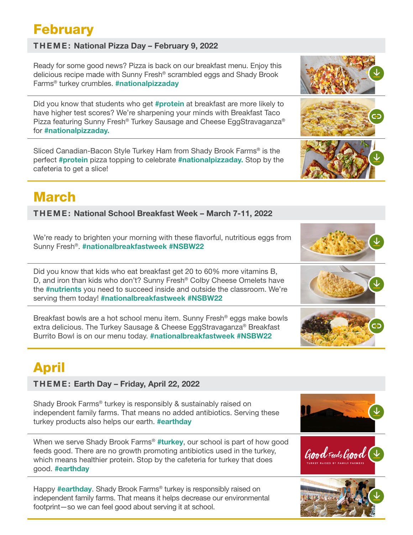## February

#### THEME: National Pizza Day – February 9, 2022

Ready for some good news? Pizza is back on our breakfast menu. Enjoy this delicious recipe made with Sunny Fresh® scrambled eggs and Shady Brook Farms® turkey crumbles. #nationalpizzaday Did you know that students who get #protein at breakfast are more likely to have higher test scores? We're sharpening your minds with Breakfast Taco Pizza featuring Sunny Fresh® Turkey Sausage and Cheese EggStravaganza® for #nationalpizzaday. Sliced Canadian-Bacon Style Turkey Ham from Shady Brook Farms® is the perfect #protein pizza topping to celebrate #nationalpizzaday. Stop by the cafeteria to get a slice!

## March

THEME: National School Breakfast Week – March 7-11, 2022

We're ready to brighten your morning with these flavorful, nutritious eggs from Sunny Fresh®. #nationalbreakfastweek #NSBW22

Did you know that kids who eat breakfast get 20 to 60% more vitamins B, D, and iron than kids who don't? Sunny Fresh® Colby Cheese Omelets have the #nutrients you need to succeed inside and outside the classroom. We're serving them today! #nationalbreakfastweek #NSBW22

Breakfast bowls are a hot school menu item. Sunny Fresh® eggs make bowls extra delicious. The Turkey Sausage & Cheese EggStravaganza® Breakfast Burrito Bowl is on our menu today. #nationalbreakfastweek #NSBW22

## April

#### THEME: Earth Day – Friday, April 22, 2022

Shady Brook Farms® turkey is responsibly & sustainably raised on independent family farms. That means no added antibiotics. Serving these turkey products also helps our earth. **#earthday** 

When we serve Shady Brook Farms<sup>®</sup> #turkey, our school is part of how good feeds good. There are no growth promoting antibiotics used in the turkey, which means healthier protein. Stop by the cafeteria for turkey that does good. #earthday

Happy #earthday. Shady Brook Farms<sup>®</sup> turkey is responsibly raised on independent family farms. That means it helps decrease our environmental footprint—so we can feel good about serving it at school.



Good Fuds Good (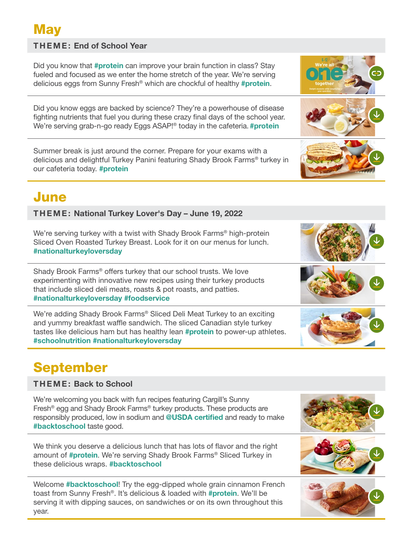## **May**

#### THEME: End of School Year

Did you know that #**protein** can improve your brain function in class? Stay fueled and focused as we enter the home stretch of the year. We're serving delicious eggs from Sunny Fresh<sup>®</sup> which are chockful of healthy #protein.

Did you know eggs are backed by science? They're a powerhouse of disease fighting nutrients that fuel you during these crazy final days of the school year. We're serving grab-n-go ready Eggs ASAP!<sup>®</sup> today in the cafeteria. #protein

Summer break is just around the corner. Prepare for your exams with a delicious and delightful Turkey Panini featuring Shady Brook Farms® turkey in our cafeteria today. #protein

#### June

THEME: National Turkey Lover's Day – June 19, 2022

We're serving turkey with a twist with Shady Brook Farms<sup>®</sup> high-protein Sliced Oven Roasted Turkey Breast. Look for it on our menus for lunch. #nationalturkeyloversday

Shady Brook Farms® offers turkey that our school trusts. We love experimenting with innovative new recipes using their turkey products that include sliced deli meats, roasts & pot roasts, and patties. #nationalturkeyloversday #foodservice

We're adding Shady Brook Farms® Sliced Deli Meat Turkey to an exciting and yummy breakfast waffle sandwich. The sliced Canadian style turkey tastes like delicious ham but has healthy lean #protein to power-up athletes. #schoolnutrition #nationalturkeyloversday

## September

THEME: Back to School

We're welcoming you back with fun recipes featuring Cargill's Sunny Fresh® egg and Shady Brook Farms® turkey products. These products are responsibly produced, low in sodium and @USDA certified and ready to make #backtoschool taste good.

We think you deserve a delicious lunch that has lots of flavor and the right amount of #protein. We're serving Shady Brook Farms<sup>®</sup> Sliced Turkey in these delicious wraps. #backtoschool

Welcome #backtoschool! Try the egg-dipped whole grain cinnamon French toast from Sunny Fresh®. It's delicious & loaded with #protein. We'll be serving it with dipping sauces, on sandwiches or on its own throughout this year.











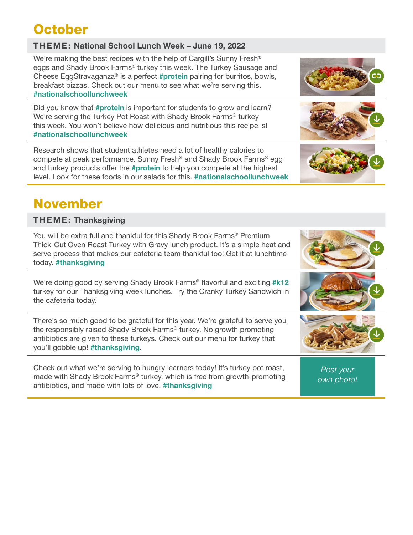## **October**

#### THEME: National School Lunch Week – June 19, 2022

We're making the best recipes with the help of Cargill's Sunny Fresh<sup>®</sup> eggs and Shady Brook Farms® turkey this week. The Turkey Sausage and Cheese EggStravaganza<sup>®</sup> is a perfect #protein pairing for burritos, bowls, breakfast pizzas. Check out our menu to see what we're serving this. #nationalschoollunchweek

Did you know that #protein is important for students to grow and learn? We're serving the Turkey Pot Roast with Shady Brook Farms® turkey this week. You won't believe how delicious and nutritious this recipe is! #nationalschoollunchweek

Research shows that student athletes need a lot of healthy calories to compete at peak performance. Sunny Fresh® and Shady Brook Farms® egg and turkey products offer the **#protein** to help you compete at the highest level. Look for these foods in our salads for this. #nationalschoollunchweek

#### THEME: Thanksgiving

You will be extra full and thankful for this Shady Brook Farms® Premium Thick-Cut Oven Roast Turkey with Gravy lunch product. It's a simple heat and serve process that makes our cafeteria team thankful too! Get it at lunchtime today. #thanksgiving

We're doing good by serving Shady Brook Farms<sup>®</sup> flavorful and exciting #k12 turkey for our Thanksgiving week lunches. Try the Cranky Turkey Sandwich in the cafeteria today.

There's so much good to be grateful for this year. We're grateful to serve you the responsibly raised Shady Brook Farms® turkey. No growth promoting antibiotics are given to these turkeys. Check out our menu for turkey that you'll gobble up! #thanksgiving.

Check out what we're serving to hungry learners today! It's turkey pot roast, made with Shady Brook Farms® turkey, which is free from growth-promoting antibiotics, and made with lots of love. #thanksgiving

*Post your own photo!*









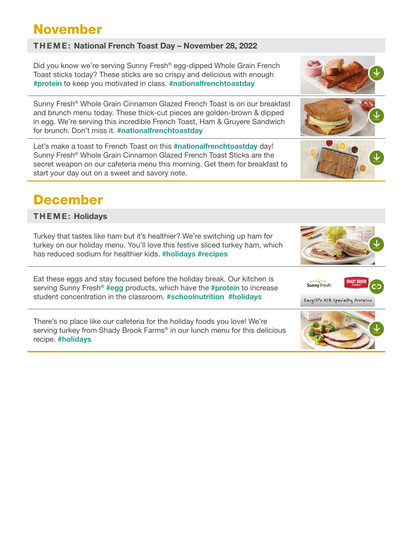## November

#### THEME: National French Toast Day – November 28, 2022

Did you know we're serving Sunny Fresh® egg-dipped Whole Grain French Toast sticks today? These sticks are so crispy and delicious with enough #protein to keep you motivated in class. #nationalfrenchtoastday

Sunny Fresh® Whole Grain Cinnamon Glazed French Toast is on our breakfast and brunch menu today. These thick-cut pieces are golden-brown & dipped in egg. We're serving this incredible French Toast, Ham & Gruyere Sandwich for brunch. Don't miss it. #nationalfrenchtoastday

Let's make a toast to French Toast on this #nationalfrenchtoastday day! Sunny Fresh® Whole Grain Cinnamon Glazed French Toast Sticks are the secret weapon on our cafeteria menu this morning. Get them for breakfast to start your day out on a sweet and savory note.

#### December

THEME: Holidays

Turkey that tastes like ham but it's healthier? We're switching up ham for turkey on our holiday menu. You'll love this festive sliced turkey ham, which has reduced sodium for healthier kids. #holidays #recipes

Eat these eggs and stay focused before the holiday break. Our kitchen is serving Sunny Fresh® #egg products, which have the #protein to increase student concentration in the classroom. #schoolnutrition #holidays

There's no place like our cafeteria for the holiday foods you love! We're serving turkey from Shady Brook Farms® in our lunch menu for this delicious recipe. #holidays





Cargill's KIZ Specialty Proteins







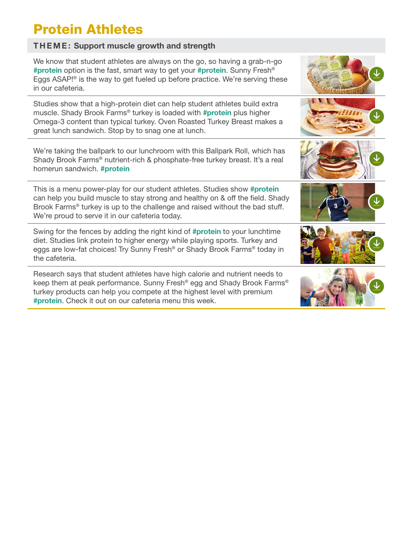## Protein Athletes

#### THEME: Support muscle growth and strength

| We know that student athletes are always on the go, so having a grab-n-go<br>#protein option is the fast, smart way to get your #protein. Sunny Fresh <sup>®</sup><br>Eggs ASAP! <sup>®</sup> is the way to get fueled up before practice. We're serving these<br>in our cafeteria.                        |  |
|------------------------------------------------------------------------------------------------------------------------------------------------------------------------------------------------------------------------------------------------------------------------------------------------------------|--|
| Studies show that a high-protein diet can help student athletes build extra<br>muscle. Shady Brook Farms <sup>®</sup> turkey is loaded with #protein plus higher<br>Omega-3 content than typical turkey. Oven Roasted Turkey Breast makes a<br>great lunch sandwich. Stop by to snag one at lunch.         |  |
| We're taking the ballpark to our lunchroom with this Ballpark Roll, which has<br>Shady Brook Farms® nutrient-rich & phosphate-free turkey breast. It's a real<br>homerun sandwich. #protein                                                                                                                |  |
| This is a menu power-play for our student athletes. Studies show #protein<br>can help you build muscle to stay strong and healthy on & off the field. Shady<br>Brook Farms <sup>®</sup> turkey is up to the challenge and raised without the bad stuff.<br>We're proud to serve it in our cafeteria today. |  |
| Swing for the fences by adding the right kind of #protein to your lunchtime<br>diet. Studies link protein to higher energy while playing sports. Turkey and<br>eggs are low-fat choices! Try Sunny Fresh <sup>®</sup> or Shady Brook Farms <sup>®</sup> today in<br>the cafeteria.                         |  |
|                                                                                                                                                                                                                                                                                                            |  |